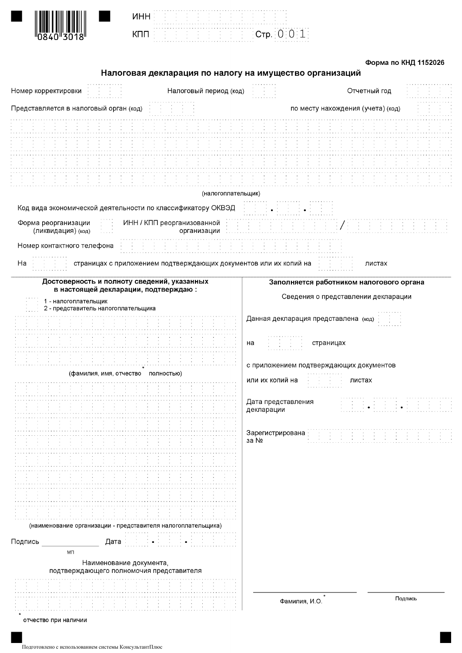**UHH** 

КПП

### Форма по КНД 1152026

## Налоговая декларация по налогу на имущество организаций

 $|C$ тр.  $|0|0|1|$ 

| Номер корректировки                                                                                                                                                                                | Налоговый период (код)                                            |                                                                                                                                                                          | Отчетный год                             |         |
|----------------------------------------------------------------------------------------------------------------------------------------------------------------------------------------------------|-------------------------------------------------------------------|--------------------------------------------------------------------------------------------------------------------------------------------------------------------------|------------------------------------------|---------|
| Представляется в налоговый орган (код)                                                                                                                                                             |                                                                   |                                                                                                                                                                          | по месту нахождения (учета) (код)        |         |
|                                                                                                                                                                                                    |                                                                   |                                                                                                                                                                          |                                          |         |
|                                                                                                                                                                                                    |                                                                   |                                                                                                                                                                          |                                          |         |
|                                                                                                                                                                                                    |                                                                   |                                                                                                                                                                          |                                          |         |
|                                                                                                                                                                                                    |                                                                   |                                                                                                                                                                          |                                          |         |
|                                                                                                                                                                                                    |                                                                   |                                                                                                                                                                          |                                          |         |
|                                                                                                                                                                                                    | (налогоплательщик)                                                |                                                                                                                                                                          |                                          |         |
| Код вида экономической деятельности по классификатору ОКВЭД                                                                                                                                        |                                                                   |                                                                                                                                                                          |                                          |         |
| Форма реорганизации<br>(ликвидация) (код)                                                                                                                                                          | ИНН / КПП реорганизованной<br>организации                         |                                                                                                                                                                          |                                          |         |
| Номер контактного телефона                                                                                                                                                                         |                                                                   |                                                                                                                                                                          |                                          |         |
| Ha                                                                                                                                                                                                 | страницах с приложением подтверждающих документов или их копий на |                                                                                                                                                                          | листах                                   |         |
| Достоверность и полноту сведений, указанных<br>в настоящей декларации, подтверждаю:                                                                                                                |                                                                   |                                                                                                                                                                          | Заполняется работником налогового органа |         |
| 1 - налогоплательщик<br>2 - представитель налогоплательщика                                                                                                                                        |                                                                   |                                                                                                                                                                          | Сведения о представлении декларации      |         |
| (фамилия, имя, отчество полностью)<br>(наименование организации - представителя налогоплательщика)<br>Подпись<br>Дата<br>MП<br>Наименование документа,<br>подтверждающего полномочия представителя |                                                                   | Данная декларация представлена (код)<br>на<br>с приложением подтверждающих документов<br>или их копий на<br>Дата представления<br>декларации<br>Зарегистрирована<br>за № | страницах<br>листах                      |         |
|                                                                                                                                                                                                    |                                                                   | Фамилия, И.О.                                                                                                                                                            |                                          | Подпись |
| отчество при наличии                                                                                                                                                                               |                                                                   |                                                                                                                                                                          |                                          |         |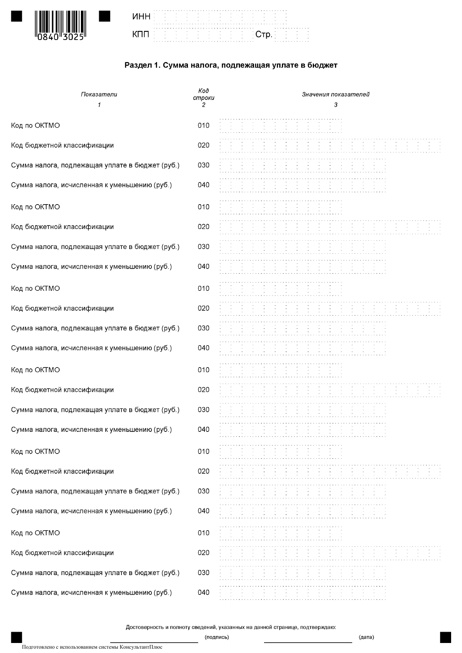

| $\blacksquare$ . The second contract of the second contract $\blacksquare$ |                                                                                                                 |  |  |  |  |  |  |  |  |  |  |  |  |  |  |  |  |  |  | the contract of the contract of the contract of the contract of the contract of the contract of<br>and the state of the state of the state of the state of the state of the state of the state of the state of the |  |  |  |                   |        |
|----------------------------------------------------------------------------|-----------------------------------------------------------------------------------------------------------------|--|--|--|--|--|--|--|--|--|--|--|--|--|--|--|--|--|--|--------------------------------------------------------------------------------------------------------------------------------------------------------------------------------------------------------------------|--|--|--|-------------------|--------|
| The distribution of the distribution $\epsilon$                            | the contract of the contract of the contract of the contract of the contract of the contract of the contract of |  |  |  |  |  |  |  |  |  |  |  |  |  |  |  |  |  |  | the company of the company of the company of                                                                                                                                                                       |  |  |  | nd Stories (1997) | $\sim$ |

# Раздел 1. Сумма налога, подлежащая уплате в бюджет

| Показатели<br>1                                 | Koð<br>строки<br>2 | Значения показателей<br>3 |
|-------------------------------------------------|--------------------|---------------------------|
| Код по ОКТМО                                    | 010                |                           |
| Код бюджетной классификации                     | 020                |                           |
| Сумма налога, подлежащая уплате в бюджет (руб.) | 030                |                           |
| Сумма налога, исчисленная к уменьшению (руб.)   | 040                |                           |
| Код по ОКТМО                                    | 010                |                           |
| Код бюджетной классификации                     | 020                |                           |
| Сумма налога, подлежащая уплате в бюджет (руб.) | 030                |                           |
| Сумма налога, исчисленная к уменьшению (руб.)   | 040                |                           |
| Код по ОКТМО                                    | 010                |                           |
| Код бюджетной классификации                     | 020                |                           |
| Сумма налога, подлежащая уплате в бюджет (руб.) | 030                |                           |
| Сумма налога, исчисленная к уменьшению (руб.)   | 040                |                           |
| Код по ОКТМО                                    | 010                |                           |
| Код бюджетной классификации                     | 020                |                           |
| Сумма налога, подлежащая уплате в бюджет (руб.) | 030                |                           |
| Сумма налога, исчисленная к уменьшению (руб.)   | 040                |                           |
| Код по ОКТМО                                    | 010                |                           |
| Код бюджетной классификации                     | 020                |                           |
| Сумма налога, подлежащая уплате в бюджет (руб.) | 030                |                           |
| Сумма налога, исчисленная к уменьшению (руб.)   | 040                |                           |
| Код по ОКТМО                                    | 010                |                           |
| Код бюджетной классификации                     | 020                |                           |
| Сумма налога, подлежащая уплате в бюджет (руб.) | 030                |                           |
| Сумма налога, исчисленная к уменьшению (руб.)   | 040                |                           |

Достоверность и полноту сведений, указанных на данной странице, подтверждаю:

(дата)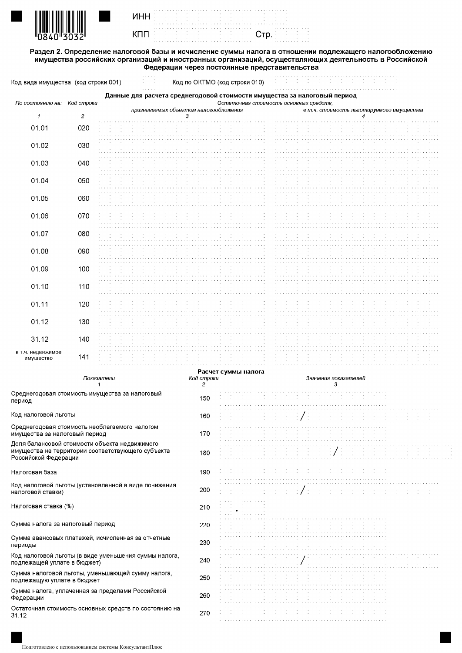

**UHH** 

КПП

Раздел 2. Определение налоговой базы и исчисление суммы налога в отношении подлежащего налогообложению имущества российских организаций и иностранных организаций, осуществляющих деятельность в Российской<br>имущества российских организаций и иностранных организаций, осуществляющих деятельность в Российской

Стр.

| Код вида имущества  (код строки 001)                                                                                                                                                                                                     |                |                                                                          |                                       |  | Код по ОКТМО (код строки 010) |                         |                                        |  |  |               |  |   |                      |  |                                          |  |
|------------------------------------------------------------------------------------------------------------------------------------------------------------------------------------------------------------------------------------------|----------------|--------------------------------------------------------------------------|---------------------------------------|--|-------------------------------|-------------------------|----------------------------------------|--|--|---------------|--|---|----------------------|--|------------------------------------------|--|
| По состоянию на: Код строки                                                                                                                                                                                                              |                | Данные для расчета среднегодовой стоимости имущества за налоговый период |                                       |  |                               |                         | Остаточная стоимость основных средств, |  |  |               |  |   |                      |  |                                          |  |
| 1                                                                                                                                                                                                                                        | $\overline{c}$ |                                                                          | признаваемых объектом налогообложения |  | 3                             |                         |                                        |  |  |               |  |   |                      |  | в т.ч. стоимость льготируемого имущества |  |
| 01.01                                                                                                                                                                                                                                    | 020            |                                                                          |                                       |  |                               |                         |                                        |  |  |               |  |   |                      |  |                                          |  |
|                                                                                                                                                                                                                                          |                |                                                                          |                                       |  |                               |                         |                                        |  |  |               |  |   |                      |  |                                          |  |
| 01.02                                                                                                                                                                                                                                    | 030            |                                                                          |                                       |  |                               |                         |                                        |  |  |               |  |   |                      |  |                                          |  |
| 01.03                                                                                                                                                                                                                                    | 040            |                                                                          |                                       |  |                               |                         |                                        |  |  |               |  |   |                      |  |                                          |  |
|                                                                                                                                                                                                                                          |                |                                                                          |                                       |  |                               |                         |                                        |  |  |               |  |   |                      |  |                                          |  |
| 01.04                                                                                                                                                                                                                                    | 050            |                                                                          |                                       |  |                               |                         |                                        |  |  |               |  |   |                      |  |                                          |  |
|                                                                                                                                                                                                                                          |                |                                                                          |                                       |  |                               |                         |                                        |  |  |               |  |   |                      |  |                                          |  |
| 01.05                                                                                                                                                                                                                                    | 060            |                                                                          |                                       |  |                               |                         |                                        |  |  |               |  |   |                      |  |                                          |  |
| 01.06                                                                                                                                                                                                                                    | 070            |                                                                          |                                       |  |                               |                         |                                        |  |  |               |  |   |                      |  |                                          |  |
|                                                                                                                                                                                                                                          |                |                                                                          |                                       |  |                               |                         |                                        |  |  |               |  |   |                      |  |                                          |  |
| 01.07                                                                                                                                                                                                                                    | 080            |                                                                          |                                       |  |                               |                         |                                        |  |  |               |  |   |                      |  |                                          |  |
|                                                                                                                                                                                                                                          |                |                                                                          |                                       |  |                               |                         |                                        |  |  |               |  |   |                      |  |                                          |  |
| 01.08                                                                                                                                                                                                                                    | 090            |                                                                          |                                       |  |                               |                         |                                        |  |  |               |  |   |                      |  |                                          |  |
| 01.09                                                                                                                                                                                                                                    | 100            |                                                                          |                                       |  |                               |                         |                                        |  |  |               |  |   |                      |  |                                          |  |
|                                                                                                                                                                                                                                          |                |                                                                          |                                       |  |                               |                         |                                        |  |  |               |  |   |                      |  |                                          |  |
| 01.10                                                                                                                                                                                                                                    | 110            |                                                                          |                                       |  |                               |                         |                                        |  |  |               |  |   |                      |  |                                          |  |
| 01.11                                                                                                                                                                                                                                    | 120            |                                                                          |                                       |  |                               |                         |                                        |  |  |               |  |   |                      |  |                                          |  |
|                                                                                                                                                                                                                                          |                |                                                                          |                                       |  |                               |                         |                                        |  |  |               |  |   |                      |  |                                          |  |
| 01.12                                                                                                                                                                                                                                    | 130            |                                                                          |                                       |  |                               |                         |                                        |  |  |               |  |   |                      |  |                                          |  |
|                                                                                                                                                                                                                                          |                |                                                                          |                                       |  |                               |                         |                                        |  |  |               |  |   |                      |  |                                          |  |
| 31.12                                                                                                                                                                                                                                    | 140            |                                                                          |                                       |  |                               |                         |                                        |  |  |               |  |   |                      |  |                                          |  |
| в т.ч. недвижимое<br>имущество                                                                                                                                                                                                           | 141            |                                                                          |                                       |  |                               |                         |                                        |  |  |               |  |   |                      |  |                                          |  |
|                                                                                                                                                                                                                                          |                |                                                                          |                                       |  |                               |                         | Расчет суммы налога                    |  |  |               |  |   |                      |  |                                          |  |
|                                                                                                                                                                                                                                          |                | Показатели                                                               |                                       |  |                               | Код строки              |                                        |  |  |               |  |   | Значения показателей |  |                                          |  |
| Среднегодовая стоимость имущества за налоговый                                                                                                                                                                                           |                | 1                                                                        |                                       |  |                               | $\overline{\mathbf{c}}$ |                                        |  |  |               |  | 3 |                      |  |                                          |  |
| период                                                                                                                                                                                                                                   |                |                                                                          |                                       |  |                               | 150                     |                                        |  |  |               |  |   |                      |  |                                          |  |
| Код налоговой льготы                                                                                                                                                                                                                     |                |                                                                          |                                       |  |                               | 160                     |                                        |  |  |               |  |   |                      |  |                                          |  |
| Среднегодовая стоимость необлагаемого налогом                                                                                                                                                                                            |                |                                                                          |                                       |  |                               |                         |                                        |  |  |               |  |   |                      |  |                                          |  |
| имущества за налоговый период                                                                                                                                                                                                            |                |                                                                          |                                       |  |                               | 170                     |                                        |  |  |               |  |   |                      |  |                                          |  |
| Доля балансовой стоимости объекта недвижимого                                                                                                                                                                                            |                |                                                                          |                                       |  |                               |                         |                                        |  |  |               |  |   |                      |  |                                          |  |
| имущества на территории соответствующего субъекта<br>Российской Федерации                                                                                                                                                                |                |                                                                          |                                       |  |                               | 180                     |                                        |  |  |               |  |   |                      |  |                                          |  |
| Налоговая база                                                                                                                                                                                                                           |                |                                                                          |                                       |  |                               |                         |                                        |  |  |               |  |   |                      |  |                                          |  |
|                                                                                                                                                                                                                                          |                |                                                                          |                                       |  |                               | 190                     |                                        |  |  |               |  |   |                      |  |                                          |  |
| Код налоговой льготы (установленной в виде понижения<br>налоговой ставки)                                                                                                                                                                |                |                                                                          |                                       |  |                               | 200                     |                                        |  |  | $\frac{1}{2}$ |  |   |                      |  |                                          |  |
|                                                                                                                                                                                                                                          |                |                                                                          |                                       |  |                               |                         |                                        |  |  |               |  |   |                      |  |                                          |  |
| Налоговая ставка (%)                                                                                                                                                                                                                     |                |                                                                          |                                       |  |                               | 210                     |                                        |  |  |               |  |   |                      |  |                                          |  |
| Сумма налога за налоговый период                                                                                                                                                                                                         |                |                                                                          |                                       |  |                               | 220                     |                                        |  |  |               |  |   |                      |  |                                          |  |
|                                                                                                                                                                                                                                          |                |                                                                          |                                       |  |                               |                         |                                        |  |  |               |  |   |                      |  |                                          |  |
| Сумма авансовых платежей, исчисленная за отчетные<br>периоды                                                                                                                                                                             |                |                                                                          |                                       |  |                               | 230                     |                                        |  |  |               |  |   |                      |  |                                          |  |
|                                                                                                                                                                                                                                          |                |                                                                          |                                       |  |                               |                         |                                        |  |  |               |  |   |                      |  |                                          |  |
|                                                                                                                                                                                                                                          |                |                                                                          |                                       |  |                               | 240                     |                                        |  |  |               |  |   |                      |  |                                          |  |
|                                                                                                                                                                                                                                          |                |                                                                          |                                       |  |                               |                         |                                        |  |  |               |  |   |                      |  |                                          |  |
|                                                                                                                                                                                                                                          |                |                                                                          |                                       |  |                               | 250                     |                                        |  |  |               |  |   |                      |  |                                          |  |
|                                                                                                                                                                                                                                          |                |                                                                          |                                       |  |                               |                         |                                        |  |  |               |  |   |                      |  |                                          |  |
| Код налоговой льготы (в виде уменьшения суммы налога,<br>подлежащей уплате в бюджет)<br>Сумма налоговой льготы, уменьшающей сумму налога,<br>подлежащую уплате в бюджет<br>Сумма налога, уплаченная за пределами Российской<br>Федерации |                |                                                                          |                                       |  |                               | 260                     |                                        |  |  |               |  |   |                      |  |                                          |  |
| Остаточная стоимость основных средств по состоянию на<br>31.12                                                                                                                                                                           |                |                                                                          |                                       |  |                               | 270                     |                                        |  |  |               |  |   |                      |  |                                          |  |